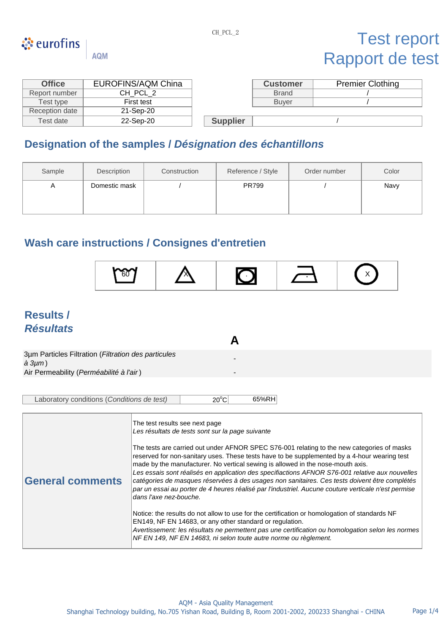

# ं eurofins

## Test report Rapport de test

| <b>Office</b>  | <b>EUROFINS/AQM China</b> |  | <b>Customer</b> | Premier |
|----------------|---------------------------|--|-----------------|---------|
| Report number  | CH PCL 2                  |  | <b>Brand</b>    |         |
| Test type      | First test                |  | <b>Buver</b>    |         |
| Reception date | 21-Sep-20                 |  |                 |         |
|                |                           |  |                 |         |

**AQM** 

| <b>Office</b> | <b>EUROFINS/AQM China</b> |                 | <b>Customer</b> | <b>Premier Clothing</b> |
|---------------|---------------------------|-----------------|-----------------|-------------------------|
| port number   | CH_PCL_2                  |                 | <b>Brand</b>    |                         |
| Test type     | First test                |                 | <b>Buver</b>    |                         |
| ception date  | 21-Sep-20                 |                 |                 |                         |
| Test date     | 22-Sep-20                 | <b>Supplier</b> |                 |                         |

## **Designation of the samples /** *Désignation des échantillons*

| Sample | Description   | Construction | Reference / Style | Order number | Color |
|--------|---------------|--------------|-------------------|--------------|-------|
| A      | Domestic mask |              | <b>PR799</b>      |              | Navy  |

## **Wash care instructions / Consignes d'entretien**



**A**

- -

## **Results /** *Résultats*

3µm Particles Filtration (*Filtration des particules à 3µm* ) Air Permeability (*Perméabilité à l'air* )

| Laboratory conditions (Conditions de test) | $20^{\circ}$ C | 65%RH |
|--------------------------------------------|----------------|-------|
|                                            |                |       |

|                         | The test results see next page                                                                                                                                                                                                                                                                                                                                                                                                                                                                                                                                                                                     |
|-------------------------|--------------------------------------------------------------------------------------------------------------------------------------------------------------------------------------------------------------------------------------------------------------------------------------------------------------------------------------------------------------------------------------------------------------------------------------------------------------------------------------------------------------------------------------------------------------------------------------------------------------------|
|                         | Les résultats de tests sont sur la page suivante                                                                                                                                                                                                                                                                                                                                                                                                                                                                                                                                                                   |
| <b>General comments</b> | The tests are carried out under AFNOR SPEC S76-001 relating to the new categories of masks<br>reserved for non-sanitary uses. These tests have to be supplemented by a 4-hour wearing test<br>made by the manufacturer. No vertical sewing is allowed in the nose-mouth axis.<br>Les essais sont réalisés en application des specifiactions AFNOR S76-001 relative aux nouvelles<br>catégories de masques réservées à des usages non sanitaires. Ces tests doivent être complétés<br>par un essai au porter de 4 heures réalisé par l'industriel. Aucune couture verticale n'est permise<br>dans l'axe nez-bouche. |
|                         | Notice: the results do not allow to use for the certification or homologation of standards NF<br>EN149, NF EN 14683, or any other standard or regulation.<br>Avertissement: les résultats ne permettent pas une certification ou homologation selon les normes<br>NF EN 149, NF EN 14683, ni selon toute autre norme ou règlement.                                                                                                                                                                                                                                                                                 |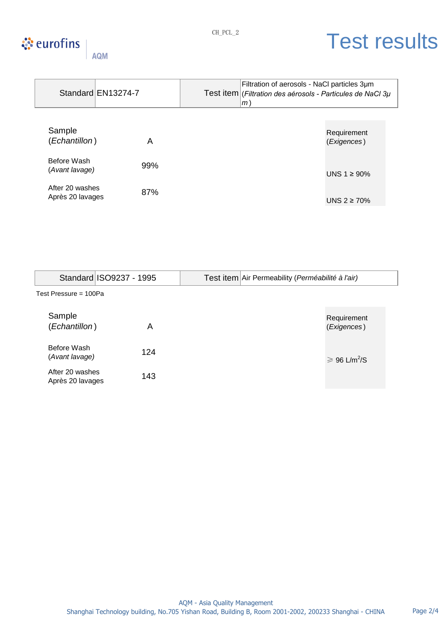### **☆** eurofins AQM

# CH\_PCL\_2 Test results

|                                     |                    |     | Filtration of aerosols - NaCl particles 3um                           |                            |
|-------------------------------------|--------------------|-----|-----------------------------------------------------------------------|----------------------------|
|                                     | Standard EN13274-7 |     | Test item (Filtration des aérosols - Particules de NaCl 3 $\mu$<br>m) |                            |
|                                     |                    |     |                                                                       |                            |
| Sample<br>(Echantillon)             |                    | A   |                                                                       | Requirement<br>(Exigences) |
| Before Wash<br>(Avant lavage)       |                    | 99% |                                                                       | UNS $1 \geq 90\%$          |
| After 20 washes<br>Après 20 lavages |                    | 87% |                                                                       | UNS $2 \ge 70\%$           |

|                                     | Standard ISO9237 - 1995 | Test item Air Permeability (Perméabilité à l'air) |  |  |  |  |  |
|-------------------------------------|-------------------------|---------------------------------------------------|--|--|--|--|--|
| Test Pressure = 100Pa               |                         |                                                   |  |  |  |  |  |
| Sample<br>(Echantillon)             | Α                       | Requirement<br>(Exigences)                        |  |  |  |  |  |
| Before Wash<br>(Avant lavage)       | 124                     | $\geqslant$ 96 L/m <sup>2</sup> /S                |  |  |  |  |  |
| After 20 washes<br>Après 20 lavages | 143                     |                                                   |  |  |  |  |  |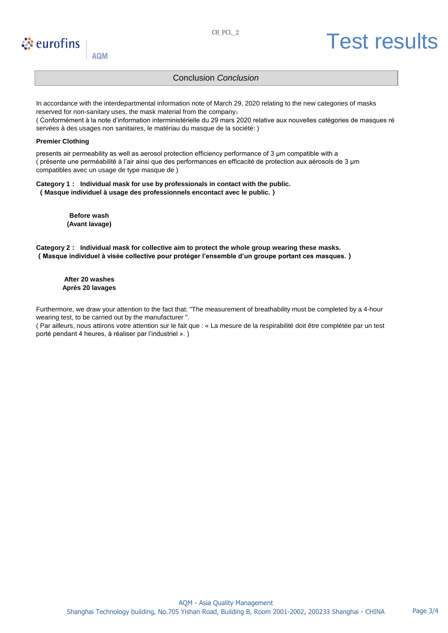## े eurofins

### **AQM**

# CH\_PCL\_2 Test results

### Conclusion *Conclusion*

In accordance with the interdepartmental information note of March 29, 2020 relating to the new categories of masks reserved for non-sanitary uses, the mask material from the company: ( Conformément à la note d'information interministérielle du 29 mars 2020 relative aux nouvelles catégories de masques ré

**Premier Clothing**

presents air permeability as well as aerosol protection efficiency performance of 3 μm compatible with a ( présente une perméabilité à l'air ainsi que des performances en efficacité de protection aux aérosols de 3 μm compatibles avec un usage de type masque de )

#### **Category 1: Individual mask for use by professionals in contact with the public. (Masque individuel à usage des professionnels encontact avec le public.)**

servées à des usages non sanitaires, le matériau du masque de la société: )

**Before wash (Avant lavage)**

**Category 2: Individual mask for collective aim to protect the whole group wearing these masks. (Masque individuel à visée collective pour protéger l'ensemble d'un groupe portant ces masques.)**

**After 20 washes Après 20 lavages**

Furthermore, we draw your attention to the fact that: "The measurement of breathability must be completed by a 4-hour wearing test, to be carried out by the manufacturer ".

( Par ailleurs, nous attirons votre attention sur le fait que : « La mesure de la respirabilité doit être complétée par un test porté pendant 4 heures, à réaliser par l'industriel ». )